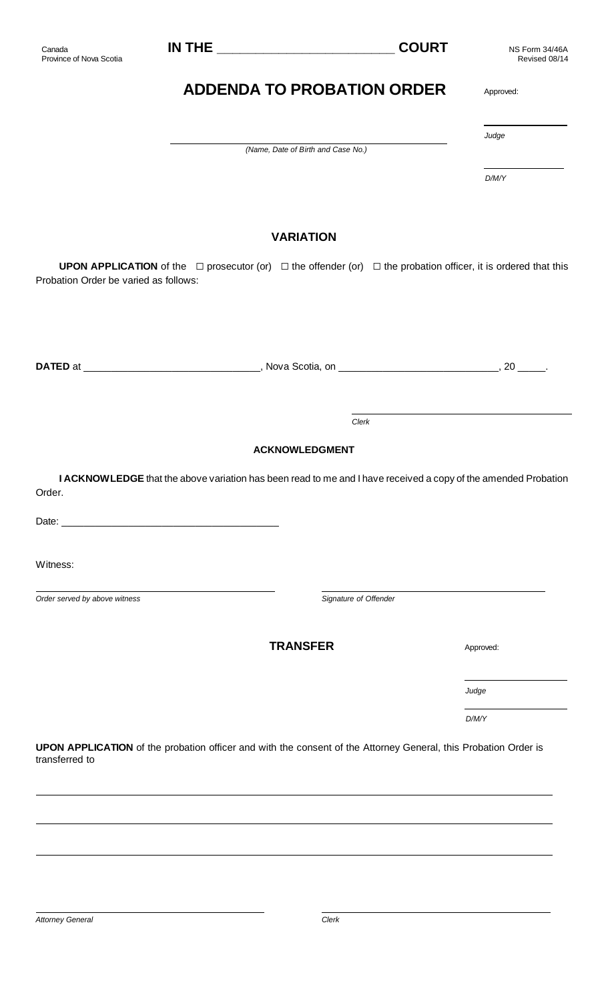| Canada<br>Province of Nova Scotia     |                                                                                                                                      | <b>COURT</b> | NS Form 34/46A<br>Revised 08/14 |
|---------------------------------------|--------------------------------------------------------------------------------------------------------------------------------------|--------------|---------------------------------|
|                                       | <b>ADDENDA TO PROBATION ORDER</b>                                                                                                    |              | Approved:                       |
|                                       | (Name, Date of Birth and Case No.)                                                                                                   |              | Judge                           |
|                                       |                                                                                                                                      |              | D/M/Y                           |
|                                       | <b>VARIATION</b>                                                                                                                     |              |                                 |
| Probation Order be varied as follows: | <b>UPON APPLICATION</b> of the $\Box$ prosecutor (or) $\Box$ the offender (or) $\Box$ the probation officer, it is ordered that this |              |                                 |
|                                       |                                                                                                                                      |              |                                 |
|                                       |                                                                                                                                      |              |                                 |
|                                       | Clerk                                                                                                                                |              |                                 |
|                                       | <b>ACKNOWLEDGMENT</b>                                                                                                                |              |                                 |
| Order.                                | I ACKNOW LEDGE that the above variation has been read to me and I have received a copy of the amended Probation                      |              |                                 |
|                                       |                                                                                                                                      |              |                                 |
| Witness:                              |                                                                                                                                      |              |                                 |
| Order served by above witness         | Signature of Offender                                                                                                                |              |                                 |
|                                       | <b>TRANSFER</b>                                                                                                                      |              | Approved:                       |
|                                       |                                                                                                                                      |              | Judge                           |
|                                       |                                                                                                                                      |              | D/M/Y                           |
| transferred to                        | UPON APPLICATION of the probation officer and with the consent of the Attorney General, this Probation Order is                      |              |                                 |
|                                       |                                                                                                                                      |              |                                 |
|                                       |                                                                                                                                      |              |                                 |